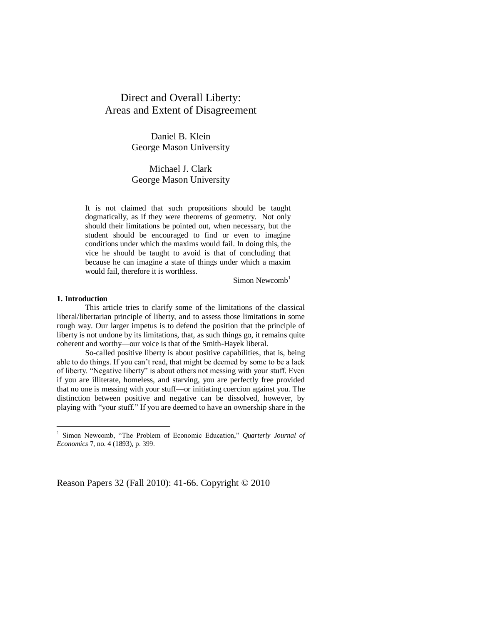# Direct and Overall Liberty: Areas and Extent of Disagreement

Daniel B. Klein George Mason University

# Michael J. Clark George Mason University

It is not claimed that such propositions should be taught dogmatically, as if they were theorems of geometry. Not only should their limitations be pointed out, when necessary, but the student should be encouraged to find or even to imagine conditions under which the maxims would fail. In doing this, the vice he should be taught to avoid is that of concluding that because he can imagine a state of things under which a maxim would fail, therefore it is worthless.

 $-Simon$  Newcomb<sup>1</sup>

#### **1. Introduction**

 $\overline{a}$ 

This article tries to clarify some of the limitations of the classical liberal/libertarian principle of liberty, and to assess those limitations in some rough way. Our larger impetus is to defend the position that the principle of liberty is not undone by its limitations, that, as such things go, it remains quite coherent and worthy—our voice is that of the Smith-Hayek liberal.

So-called positive liberty is about positive capabilities, that is, being able to do things. If you can't read, that might be deemed by some to be a lack of liberty. "Negative liberty" is about others not messing with your stuff. Even if you are illiterate, homeless, and starving, you are perfectly free provided that no one is messing with your stuff—or initiating coercion against you. The distinction between positive and negative can be dissolved, however, by playing with "your stuff." If you are deemed to have an ownership share in the

<sup>&</sup>lt;sup>1</sup> Simon Newcomb, "The Problem of Economic Education," Quarterly Journal of *Economics* 7, no. 4 (1893), p. 399.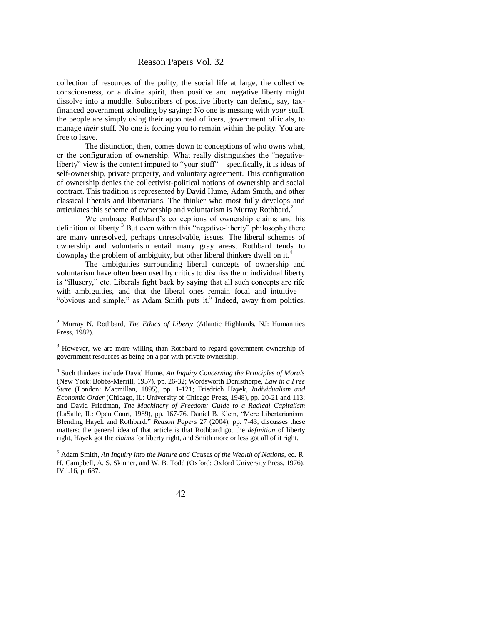collection of resources of the polity, the social life at large, the collective consciousness, or a divine spirit, then positive and negative liberty might dissolve into a muddle. Subscribers of positive liberty can defend, say, taxfinanced government schooling by saying: No one is messing with *your* stuff, the people are simply using their appointed officers, government officials, to manage *their* stuff. No one is forcing you to remain within the polity. You are free to leave.

The distinction, then, comes down to conceptions of who owns what, or the configuration of ownership. What really distinguishes the "negativeliberty" view is the content imputed to "your stuff"—specifically, it is ideas of self-ownership, private property, and voluntary agreement. This configuration of ownership denies the collectivist-political notions of ownership and social contract. This tradition is represented by David Hume, Adam Smith, and other classical liberals and libertarians. The thinker who most fully develops and articulates this scheme of ownership and voluntarism is Murray Rothbard.<sup>2</sup>

We embrace Rothbard's conceptions of ownership claims and his definition of liberty.<sup>3</sup> But even within this "negative-liberty" philosophy there are many unresolved, perhaps unresolvable, issues. The liberal schemes of ownership and voluntarism entail many gray areas. Rothbard tends to downplay the problem of ambiguity, but other liberal thinkers dwell on it.<sup>4</sup>

The ambiguities surrounding liberal concepts of ownership and voluntarism have often been used by critics to dismiss them: individual liberty is "illusory," etc. Liberals fight back by saying that all such concepts are rife with ambiguities, and that the liberal ones remain focal and intuitive— "obvious and simple," as Adam Smith puts it.<sup>5</sup> Indeed, away from politics,

<sup>2</sup> Murray N. Rothbard, *The Ethics of Liberty* (Atlantic Highlands, NJ: Humanities Press, 1982).

<sup>&</sup>lt;sup>3</sup> However, we are more willing than Rothbard to regard government ownership of government resources as being on a par with private ownership.

<sup>4</sup> Such thinkers include David Hume, *An Inquiry Concerning the Principles of Morals* (New York: Bobbs-Merrill, 1957), pp. 26-32; Wordsworth Donisthorpe, *Law in a Free State* (London: Macmillan, 1895), pp. 1-121; Friedrich Hayek, *Individualism and Economic Order* (Chicago, IL: University of Chicago Press, 1948), pp. 20-21 and 113; and David Friedman, *The Machinery of Freedom: Guide to a Radical Capitalism* (LaSalle, IL: Open Court, 1989), pp. 167-76. Daniel B. Klein, "Mere Libertarianism: Blending Hayek and Rothbard,‖ *Reason Papers* 27 (2004), pp. 7-43, discusses these matters; the general idea of that article is that Rothbard got the *definition* of liberty right, Hayek got the *claims* for liberty right, and Smith more or less got all of it right.

<sup>5</sup> Adam Smith, *An Inquiry into the Nature and Causes of the Wealth of Nations*, ed. R. H. Campbell, A. S. Skinner, and W. B. Todd (Oxford: Oxford University Press, 1976), IV.i.16, p. 687.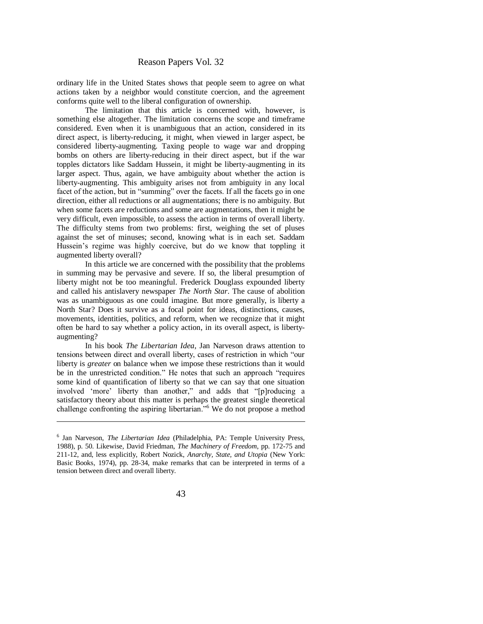ordinary life in the United States shows that people seem to agree on what actions taken by a neighbor would constitute coercion, and the agreement conforms quite well to the liberal configuration of ownership.

The limitation that this article is concerned with, however, is something else altogether. The limitation concerns the scope and timeframe considered. Even when it is unambiguous that an action, considered in its direct aspect, is liberty-reducing, it might, when viewed in larger aspect, be considered liberty-augmenting. Taxing people to wage war and dropping bombs on others are liberty-reducing in their direct aspect, but if the war topples dictators like Saddam Hussein, it might be liberty-augmenting in its larger aspect. Thus, again, we have ambiguity about whether the action is liberty-augmenting. This ambiguity arises not from ambiguity in any local facet of the action, but in "summing" over the facets. If all the facets go in one direction, either all reductions or all augmentations; there is no ambiguity. But when some facets are reductions and some are augmentations, then it might be very difficult, even impossible, to assess the action in terms of overall liberty. The difficulty stems from two problems: first, weighing the set of pluses against the set of minuses; second, knowing what is in each set. Saddam Hussein's regime was highly coercive, but do we know that toppling it augmented liberty overall?

In this article we are concerned with the possibility that the problems in summing may be pervasive and severe. If so, the liberal presumption of liberty might not be too meaningful. Frederick Douglass expounded liberty and called his antislavery newspaper *The North Star*. The cause of abolition was as unambiguous as one could imagine. But more generally, is liberty a North Star? Does it survive as a focal point for ideas, distinctions, causes, movements, identities, politics, and reform, when we recognize that it might often be hard to say whether a policy action, in its overall aspect, is libertyaugmenting?

In his book *The Libertarian Idea*, Jan Narveson draws attention to tensions between direct and overall liberty, cases of restriction in which "our liberty is *greater* on balance when we impose these restrictions than it would be in the unrestricted condition." He notes that such an approach "requires" some kind of quantification of liberty so that we can say that one situation involved 'more' liberty than another," and adds that "[p]roducing a satisfactory theory about this matter is perhaps the greatest single theoretical challenge confronting the aspiring libertarian."<sup>6</sup> We do not propose a method

<sup>6</sup> Jan Narveson, *The Libertarian Idea* (Philadelphia, PA: Temple University Press, 1988), p. 50. Likewise, David Friedman, *The Machinery of Freedom*, pp. 172-75 and 211-12, and, less explicitly, Robert Nozick, *Anarchy, State, and Utopia* (New York: Basic Books, 1974), pp. 28-34, make remarks that can be interpreted in terms of a tension between direct and overall liberty.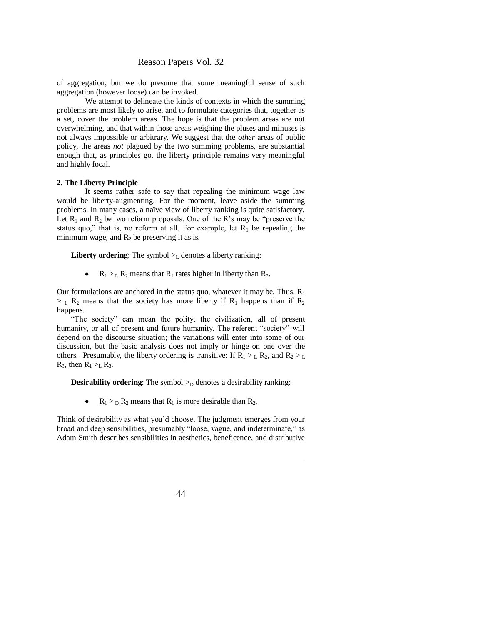of aggregation, but we do presume that some meaningful sense of such aggregation (however loose) can be invoked.

We attempt to delineate the kinds of contexts in which the summing problems are most likely to arise, and to formulate categories that, together as a set, cover the problem areas. The hope is that the problem areas are not overwhelming, and that within those areas weighing the pluses and minuses is not always impossible or arbitrary. We suggest that the *other* areas of public policy, the areas *not* plagued by the two summing problems, are substantial enough that, as principles go, the liberty principle remains very meaningful and highly focal.

#### **2. The Liberty Principle**

 $\overline{a}$ 

It seems rather safe to say that repealing the minimum wage law would be liberty-augmenting. For the moment, leave aside the summing problems. In many cases, a naïve view of liberty ranking is quite satisfactory. Let  $R_1$  and  $R_2$  be two reform proposals. One of the R's may be "preserve the status quo," that is, no reform at all. For example, let  $R_1$  be repealing the minimum wage, and  $R_2$  be preserving it as is.

**Liberty ordering:** The symbol  $>_L$  denotes a liberty ranking:

 $R_1 > L R_2$  means that  $R_1$  rates higher in liberty than  $R_2$ .

Our formulations are anchored in the status quo, whatever it may be. Thus,  $R_1$  $>$ <sub>L</sub> R<sub>2</sub> means that the society has more liberty if R<sub>1</sub> happens than if R<sub>2</sub> happens.

"The society" can mean the polity, the civilization, all of present humanity, or all of present and future humanity. The referent "society" will depend on the discourse situation; the variations will enter into some of our discussion, but the basic analysis does not imply or hinge on one over the others. Presumably, the liberty ordering is transitive: If  $R_1 >_L R_2$ , and  $R_2 >_L$  $R_3$ , then  $R_1 >_L R_3$ .

**Desirability ordering:** The symbol  $>_{D}$  denotes a desirability ranking:

 $\bullet$  $R_1 > D_2$  means that  $R_1$  is more desirable than  $R_2$ .

Think of desirability as what you'd choose. The judgment emerges from your broad and deep sensibilities, presumably "loose, vague, and indeterminate," as Adam Smith describes sensibilities in aesthetics, beneficence, and distributive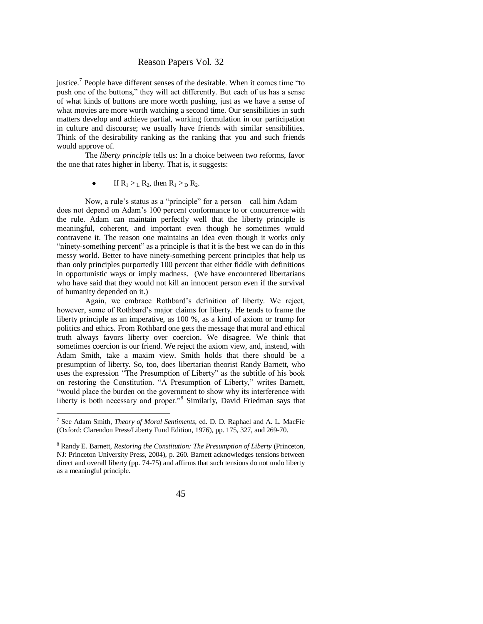justice.<sup>7</sup> People have different senses of the desirable. When it comes time "to push one of the buttons," they will act differently. But each of us has a sense of what kinds of buttons are more worth pushing, just as we have a sense of what movies are more worth watching a second time. Our sensibilities in such matters develop and achieve partial, working formulation in our participation in culture and discourse; we usually have friends with similar sensibilities. Think of the desirability ranking as the ranking that you and such friends would approve of.

The *liberty principle* tells us: In a choice between two reforms, favor the one that rates higher in liberty. That is, it suggests:

If  $R_1 >_L R_2$ , then  $R_1 >_D R_2$ .

Now, a rule's status as a "principle" for a person—call him Adam does not depend on Adam's 100 percent conformance to or concurrence with the rule. Adam can maintain perfectly well that the liberty principle is meaningful, coherent, and important even though he sometimes would contravene it. The reason one maintains an idea even though it works only "ninety-something percent" as a principle is that it is the best we can do in this messy world. Better to have ninety-something percent principles that help us than only principles purportedly 100 percent that either fiddle with definitions in opportunistic ways or imply madness. (We have encountered libertarians who have said that they would not kill an innocent person even if the survival of humanity depended on it.)

Again, we embrace Rothbard's definition of liberty. We reject, however, some of Rothbard's major claims for liberty. He tends to frame the liberty principle as an imperative, as 100 %, as a kind of axiom or trump for politics and ethics. From Rothbard one gets the message that moral and ethical truth always favors liberty over coercion. We disagree. We think that sometimes coercion is our friend. We reject the axiom view, and, instead, with Adam Smith, take a maxim view. Smith holds that there should be a presumption of liberty. So, too, does libertarian theorist Randy Barnett, who uses the expression "The Presumption of Liberty" as the subtitle of his book on restoring the Constitution. "A Presumption of Liberty," writes Barnett, "would place the burden on the government to show why its interference with liberty is both necessary and proper."<sup>8</sup> Similarly, David Friedman says that

<sup>7</sup> See Adam Smith, *Theory of Moral Sentiments*, ed. D. D. Raphael and A. L. MacFie (Oxford: Clarendon Press/Liberty Fund Edition, 1976), pp. 175, 327, and 269-70.

<sup>8</sup> Randy E. Barnett, *Restoring the Constitution: The Presumption of Liberty* (Princeton, NJ: Princeton University Press, 2004), p. 260. Barnett acknowledges tensions between direct and overall liberty (pp. 74-75) and affirms that such tensions do not undo liberty as a meaningful principle.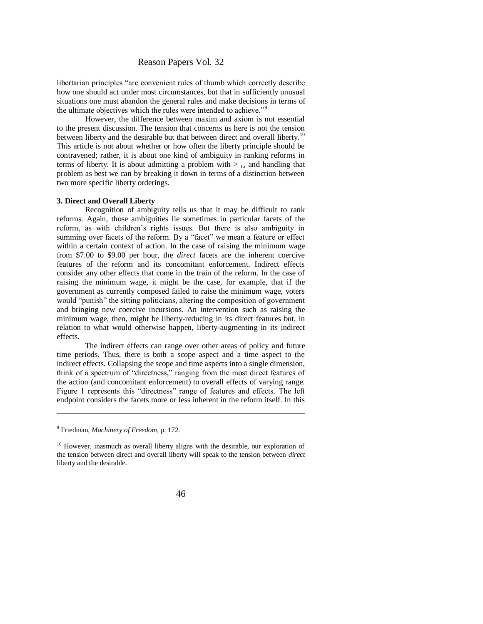libertarian principles "are convenient rules of thumb which correctly describe how one should act under most circumstances, but that in sufficiently unusual situations one must abandon the general rules and make decisions in terms of the ultimate objectives which the rules were intended to achieve."<sup>9</sup>

However, the difference between maxim and axiom is not essential to the present discussion. The tension that concerns us here is not the tension between liberty and the desirable but that between direct and overall liberty.<sup>10</sup> This article is not about whether or how often the liberty principle should be contravened; rather, it is about one kind of ambiguity in ranking reforms in terms of liberty. It is about admitting a problem with  $>_{\text{L}}$ , and handling that problem as best we can by breaking it down in terms of a distinction between two more specific liberty orderings.

#### **3. Direct and Overall Liberty**

Recognition of ambiguity tells us that it may be difficult to rank reforms. Again, those ambiguities lie sometimes in particular facets of the reform, as with children's rights issues. But there is also ambiguity in summing over facets of the reform. By a "facet" we mean a feature or effect within a certain context of action. In the case of raising the minimum wage from \$7.00 to \$9.00 per hour, the *direct* facets are the inherent coercive features of the reform and its concomitant enforcement. Indirect effects consider any other effects that come in the train of the reform. In the case of raising the minimum wage, it might be the case, for example, that if the government as currently composed failed to raise the minimum wage, voters would "punish" the sitting politicians, altering the composition of government and bringing new coercive incursions. An intervention such as raising the minimum wage, then, might be liberty-reducing in its direct features but, in relation to what would otherwise happen, liberty-augmenting in its indirect effects.

The indirect effects can range over other areas of policy and future time periods. Thus, there is both a scope aspect and a time aspect to the indirect effects. Collapsing the scope and time aspects into a single dimension, think of a spectrum of "directness," ranging from the most direct features of the action (and concomitant enforcement) to overall effects of varying range. Figure 1 represents this "directness" range of features and effects. The left endpoint considers the facets more or less inherent in the reform itself. In this

<sup>9</sup> Friedman, *Machinery of Freedom*, p. 172.

 $10$  However, inasmuch as overall liberty aligns with the desirable, our exploration of the tension between direct and overall liberty will speak to the tension between *direct* liberty and the desirable.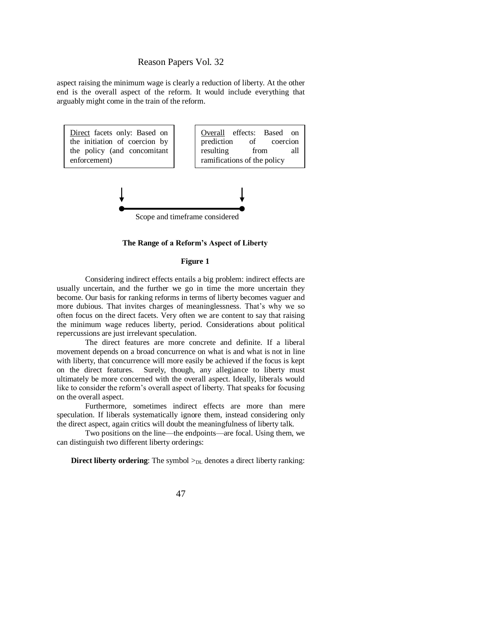aspect raising the minimum wage is clearly a reduction of liberty. At the other end is the overall aspect of the reform. It would include everything that arguably might come in the train of the reform.



**The Range of a Reform's Aspect of Liberty**

#### **Figure 1**

Considering indirect effects entails a big problem: indirect effects are usually uncertain, and the further we go in time the more uncertain they become. Our basis for ranking reforms in terms of liberty becomes vaguer and more dubious. That invites charges of meaninglessness. That's why we so often focus on the direct facets. Very often we are content to say that raising the minimum wage reduces liberty, period. Considerations about political repercussions are just irrelevant speculation.

The direct features are more concrete and definite. If a liberal movement depends on a broad concurrence on what is and what is not in line with liberty, that concurrence will more easily be achieved if the focus is kept on the direct features. Surely, though, any allegiance to liberty must ultimately be more concerned with the overall aspect. Ideally, liberals would like to consider the reform's overall aspect of liberty. That speaks for focusing on the overall aspect.

Furthermore, sometimes indirect effects are more than mere speculation. If liberals systematically ignore them, instead considering only the direct aspect, again critics will doubt the meaningfulness of liberty talk.

Two positions on the line—the endpoints—are focal. Using them, we can distinguish two different liberty orderings:

**Direct liberty ordering**: The symbol  $>_{DL}$  denotes a direct liberty ranking: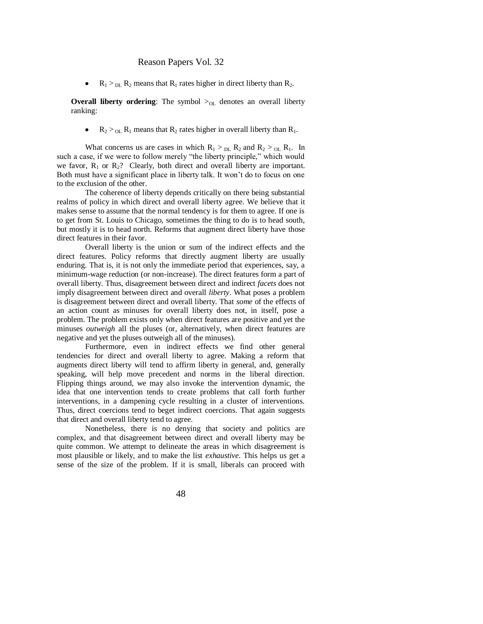$R_1 >_{\text{DL}} R_2$  means that  $R_1$  rates higher in direct liberty than  $R_2$ .

**Overall liberty ordering:** The symbol  $>_{OL}$  denotes an overall liberty ranking:

•  $R_2 >_{OL} R_1$  means that  $R_2$  rates higher in overall liberty than  $R_1$ .

What concerns us are cases in which  $R_1 >_{\text{DI}} R_2$  and  $R_2 >_{\text{OL}} R_1$ . In such a case, if we were to follow merely "the liberty principle," which would we favor,  $R_1$  or  $R_2$ ? Clearly, both direct and overall liberty are important. Both must have a significant place in liberty talk. It won't do to focus on one to the exclusion of the other.

The coherence of liberty depends critically on there being substantial realms of policy in which direct and overall liberty agree. We believe that it makes sense to assume that the normal tendency is for them to agree. If one is to get from St. Louis to Chicago, sometimes the thing to do is to head south, but mostly it is to head north. Reforms that augment direct liberty have those direct features in their favor.

Overall liberty is the union or sum of the indirect effects and the direct features. Policy reforms that directly augment liberty are usually enduring. That is, it is not only the immediate period that experiences, say, a minimum-wage reduction (or non-increase). The direct features form a part of overall liberty. Thus, disagreement between direct and indirect *facets* does not imply disagreement between direct and overall *liberty*. What poses a problem is disagreement between direct and overall liberty. That *some* of the effects of an action count as minuses for overall liberty does not, in itself, pose a problem. The problem exists only when direct features are positive and yet the minuses *outweigh* all the pluses (or, alternatively, when direct features are negative and yet the pluses outweigh all of the minuses).

Furthermore, even in indirect effects we find other general tendencies for direct and overall liberty to agree. Making a reform that augments direct liberty will tend to affirm liberty in general, and, generally speaking, will help move precedent and norms in the liberal direction. Flipping things around, we may also invoke the intervention dynamic, the idea that one intervention tends to create problems that call forth further interventions, in a dampening cycle resulting in a cluster of interventions. Thus, direct coercions tend to beget indirect coercions. That again suggests that direct and overall liberty tend to agree.

Nonetheless, there is no denying that society and politics are complex, and that disagreement between direct and overall liberty may be quite common. We attempt to delineate the areas in which disagreement is most plausible or likely, and to make the list *exhaustive*. This helps us get a sense of the size of the problem. If it is small, liberals can proceed with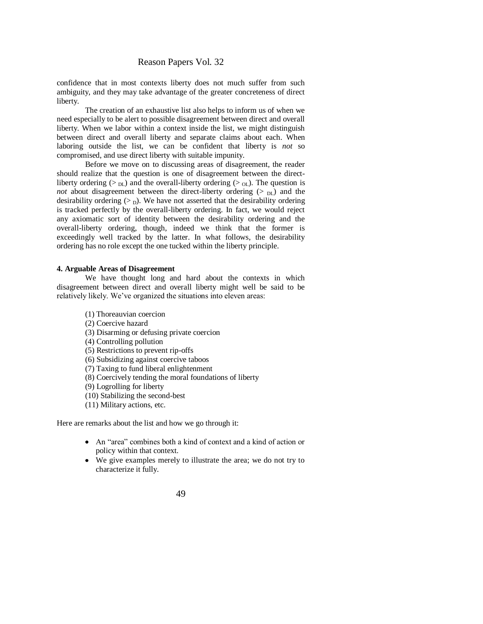confidence that in most contexts liberty does not much suffer from such ambiguity, and they may take advantage of the greater concreteness of direct liberty.

The creation of an exhaustive list also helps to inform us of when we need especially to be alert to possible disagreement between direct and overall liberty. When we labor within a context inside the list, we might distinguish between direct and overall liberty and separate claims about each. When laboring outside the list, we can be confident that liberty is *not* so compromised, and use direct liberty with suitable impunity.

Before we move on to discussing areas of disagreement, the reader should realize that the question is one of disagreement between the directliberty ordering ( $>_{DI}$ ) and the overall-liberty ordering ( $>_{OL}$ ). The question is *not* about disagreement between the direct-liberty ordering  $($   $>$ <sub>DL</sub>) and the desirability ordering  $(>_{D})$ . We have not asserted that the desirability ordering is tracked perfectly by the overall-liberty ordering. In fact, we would reject any axiomatic sort of identity between the desirability ordering and the overall-liberty ordering, though, indeed we think that the former is exceedingly well tracked by the latter. In what follows, the desirability ordering has no role except the one tucked within the liberty principle.

#### **4. Arguable Areas of Disagreement**

We have thought long and hard about the contexts in which disagreement between direct and overall liberty might well be said to be relatively likely. We've organized the situations into eleven areas:

- (1) Thoreauvian coercion
- (2) Coercive hazard
- (3) Disarming or defusing private coercion
- (4) Controlling pollution
- (5) Restrictions to prevent rip-offs
- (6) Subsidizing against coercive taboos
- (7) Taxing to fund liberal enlightenment
- (8) Coercively tending the moral foundations of liberty
- (9) Logrolling for liberty
- (10) Stabilizing the second-best
- (11) Military actions, etc.

Here are remarks about the list and how we go through it:

- An "area" combines both a kind of context and a kind of action or policy within that context.
- We give examples merely to illustrate the area; we do not try to characterize it fully.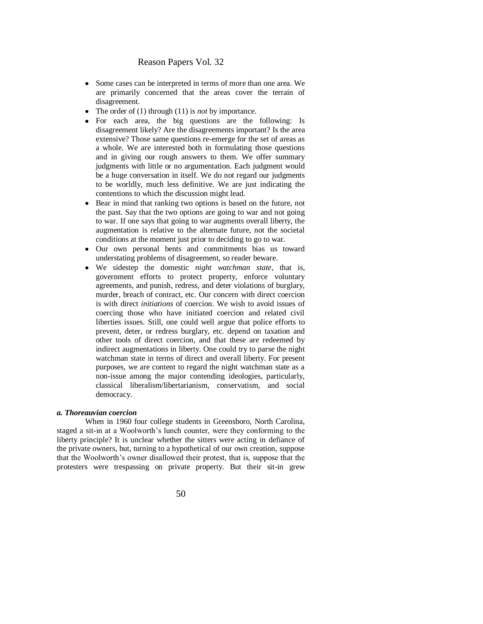- Some cases can be interpreted in terms of more than one area. We  $\bullet$ are primarily concerned that the areas cover the terrain of disagreement.
- The order of (1) through (11) is *not* by importance.
- For each area, the big questions are the following: Is disagreement likely? Are the disagreements important? Is the area extensive? Those same questions re-emerge for the set of areas as a whole. We are interested both in formulating those questions and in giving our rough answers to them. We offer summary judgments with little or no argumentation. Each judgment would be a huge conversation in itself. We do not regard our judgments to be worldly, much less definitive. We are just indicating the contentions to which the discussion might lead.
- Bear in mind that ranking two options is based on the future, not  $\bullet$ the past. Say that the two options are going to war and not going to war. If one says that going to war augments overall liberty, the augmentation is relative to the alternate future, not the societal conditions at the moment just prior to deciding to go to war.
- Our own personal bents and commitments bias us toward understating problems of disagreement, so reader beware.
- We sidestep the domestic *night watchman state*, that is, government efforts to protect property, enforce voluntary agreements, and punish, redress, and deter violations of burglary, murder, breach of contract, etc. Our concern with direct coercion is with direct *initiations* of coercion. We wish to avoid issues of coercing those who have initiated coercion and related civil liberties issues. Still, one could well argue that police efforts to prevent, deter, or redress burglary, etc. depend on taxation and other tools of direct coercion, and that these are redeemed by indirect augmentations in liberty. One could try to parse the night watchman state in terms of direct and overall liberty. For present purposes, we are content to regard the night watchman state as a non-issue among the major contending ideologies, particularly, classical liberalism/libertarianism, conservatism, and social democracy.

### *a. Thoreauvian coercion*

When in 1960 four college students in Greensboro, North Carolina, staged a sit-in at a Woolworth's lunch counter, were they conforming to the liberty principle? It is unclear whether the sitters were acting in defiance of the private owners, but, turning to a hypothetical of our own creation, suppose that the Woolworth's owner disallowed their protest, that is, suppose that the protesters were trespassing on private property. But their sit-in grew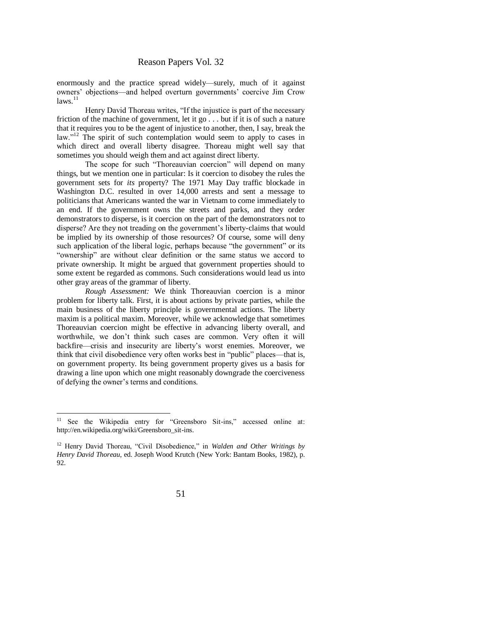enormously and the practice spread widely—surely, much of it against owners' objections—and helped overturn governments' coercive Jim Crow  $laws.<sup>11</sup>$ 

Henry David Thoreau writes, "If the injustice is part of the necessary friction of the machine of government, let it go . . . but if it is of such a nature that it requires you to be the agent of injustice to another, then, I say, break the law."<sup>12</sup> The spirit of such contemplation would seem to apply to cases in which direct and overall liberty disagree. Thoreau might well say that sometimes you should weigh them and act against direct liberty.

The scope for such "Thoreauvian coercion" will depend on many things, but we mention one in particular: Is it coercion to disobey the rules the government sets for *its* property? The 1971 May Day traffic blockade in Washington D.C. resulted in over 14,000 arrests and sent a message to politicians that Americans wanted the war in Vietnam to come immediately to an end. If the government owns the streets and parks, and they order demonstrators to disperse, is it coercion on the part of the demonstrators not to disperse? Are they not treading on the government's liberty-claims that would be implied by its ownership of those resources? Of course, some will deny such application of the liberal logic, perhaps because "the government" or its "ownership" are without clear definition or the same status we accord to private ownership. It might be argued that government properties should to some extent be regarded as commons. Such considerations would lead us into other gray areas of the grammar of liberty.

*Rough Assessment:* We think Thoreauvian coercion is a minor problem for liberty talk. First, it is about actions by private parties, while the main business of the liberty principle is governmental actions. The liberty maxim is a political maxim. Moreover, while we acknowledge that sometimes Thoreauvian coercion might be effective in advancing liberty overall, and worthwhile, we don't think such cases are common. Very often it will backfire—crisis and insecurity are liberty's worst enemies. Moreover, we think that civil disobedience very often works best in "public" places—that is, on government property. Its being government property gives us a basis for drawing a line upon which one might reasonably downgrade the coerciveness of defying the owner's terms and conditions.

See the Wikipedia entry for "Greensboro Sit-ins," accessed online at: http://en.wikipedia.org/wiki/Greensboro\_sit-ins.

<sup>&</sup>lt;sup>12</sup> Henry David Thoreau, "Civil Disobedience," in *Walden and Other Writings by Henry David Thoreau*, ed. Joseph Wood Krutch (New York: Bantam Books, 1982), p. 92.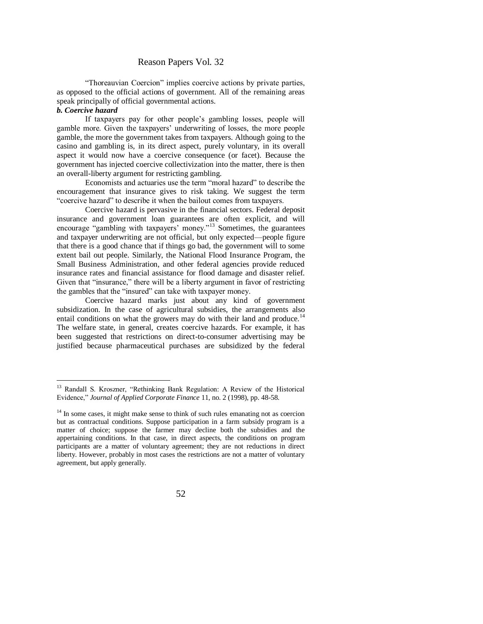"Thoreauvian Coercion" implies coercive actions by private parties, as opposed to the official actions of government. All of the remaining areas speak principally of official governmental actions.

### *b. Coercive hazard*

 $\overline{a}$ 

If taxpayers pay for other people's gambling losses, people will gamble more. Given the taxpayers' underwriting of losses, the more people gamble, the more the government takes from taxpayers. Although going to the casino and gambling is, in its direct aspect, purely voluntary, in its overall aspect it would now have a coercive consequence (or facet). Because the government has injected coercive collectivization into the matter, there is then an overall-liberty argument for restricting gambling.

Economists and actuaries use the term "moral hazard" to describe the encouragement that insurance gives to risk taking. We suggest the term ―coercive hazard‖ to describe it when the bailout comes from taxpayers.

Coercive hazard is pervasive in the financial sectors. Federal deposit insurance and government loan guarantees are often explicit, and will encourage "gambling with taxpayers' money."<sup>13</sup> Sometimes, the guarantees and taxpayer underwriting are not official, but only expected—people figure that there is a good chance that if things go bad, the government will to some extent bail out people. Similarly, the National Flood Insurance Program, the Small Business Administration, and other federal agencies provide reduced insurance rates and financial assistance for flood damage and disaster relief. Given that "insurance," there will be a liberty argument in favor of restricting the gambles that the "insured" can take with taxpayer money.

Coercive hazard marks just about any kind of government subsidization. In the case of agricultural subsidies, the arrangements also entail conditions on what the growers may do with their land and produce.<sup>14</sup> The welfare state, in general, creates coercive hazards. For example, it has been suggested that restrictions on direct-to-consumer advertising may be justified because pharmaceutical purchases are subsidized by the federal

<sup>&</sup>lt;sup>13</sup> Randall S. Kroszner, "Rethinking Bank Regulation: A Review of the Historical Evidence,‖ *Journal of Applied Corporate Finance* 11, no. 2 (1998), pp. 48-58.

<sup>&</sup>lt;sup>14</sup> In some cases, it might make sense to think of such rules emanating not as coercion but as contractual conditions. Suppose participation in a farm subsidy program is a matter of choice; suppose the farmer may decline both the subsidies and the appertaining conditions. In that case, in direct aspects, the conditions on program participants are a matter of voluntary agreement; they are not reductions in direct liberty. However, probably in most cases the restrictions are not a matter of voluntary agreement, but apply generally.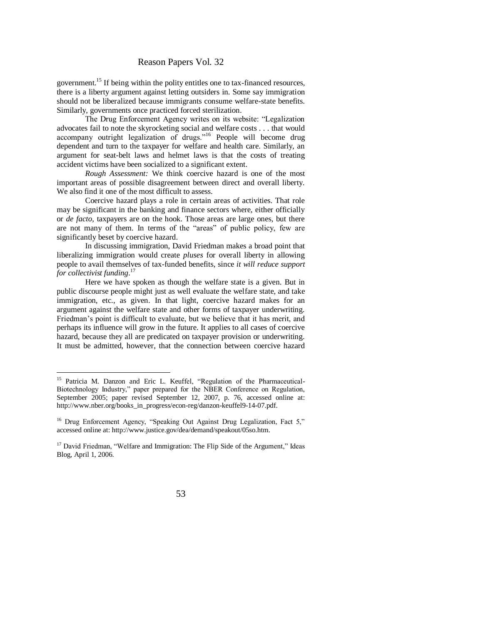government.<sup>15</sup> If being within the polity entitles one to tax-financed resources, there is a liberty argument against letting outsiders in. Some say immigration should not be liberalized because immigrants consume welfare-state benefits. Similarly, governments once practiced forced sterilization.

The Drug Enforcement Agency writes on its website: "Legalization" advocates fail to note the skyrocketing social and welfare costs . . . that would accompany outright legalization of drugs."<sup>16</sup> People will become drug dependent and turn to the taxpayer for welfare and health care. Similarly, an argument for seat-belt laws and helmet laws is that the costs of treating accident victims have been socialized to a significant extent.

*Rough Assessment:* We think coercive hazard is one of the most important areas of possible disagreement between direct and overall liberty. We also find it one of the most difficult to assess.

Coercive hazard plays a role in certain areas of activities. That role may be significant in the banking and finance sectors where, either officially or *de facto*, taxpayers are on the hook. Those areas are large ones, but there are not many of them. In terms of the "areas" of public policy, few are significantly beset by coercive hazard.

In discussing immigration, David Friedman makes a broad point that liberalizing immigration would create *pluses* for overall liberty in allowing people to avail themselves of tax-funded benefits, since *it will reduce support for collectivist funding*. 17

Here we have spoken as though the welfare state is a given. But in public discourse people might just as well evaluate the welfare state, and take immigration, etc., as given. In that light, coercive hazard makes for an argument against the welfare state and other forms of taxpayer underwriting. Friedman's point is difficult to evaluate, but we believe that it has merit, and perhaps its influence will grow in the future. It applies to all cases of coercive hazard, because they all are predicated on taxpayer provision or underwriting. It must be admitted, however, that the connection between coercive hazard

<sup>&</sup>lt;sup>15</sup> Patricia M. Danzon and Eric L. Keuffel, "Regulation of the Pharmaceutical-Biotechnology Industry," paper prepared for the NBER Conference on Regulation, September 2005; paper revised September 12, 2007, p. 76, accessed online at: http://www.nber.org/books\_in\_progress/econ-reg/danzon-keuffel9-14-07.pdf.

<sup>&</sup>lt;sup>16</sup> Drug Enforcement Agency, "Speaking Out Against Drug Legalization, Fact 5," accessed online at[: http://www.justice.gov/dea/demand/speakout/05so.htm.](http://www.justice.gov/dea/demand/speakout/05so.htm)

 $17$  David Friedman, "Welfare and Immigration: The Flip Side of the Argument," Ideas Blog, April 1, 2006.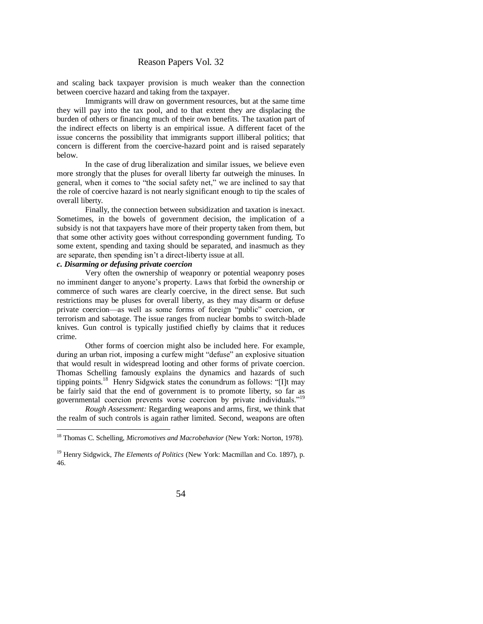and scaling back taxpayer provision is much weaker than the connection between coercive hazard and taking from the taxpayer.

Immigrants will draw on government resources, but at the same time they will pay into the tax pool, and to that extent they are displacing the burden of others or financing much of their own benefits. The taxation part of the indirect effects on liberty is an empirical issue. A different facet of the issue concerns the possibility that immigrants support illiberal politics; that concern is different from the coercive-hazard point and is raised separately below.

In the case of drug liberalization and similar issues, we believe even more strongly that the pluses for overall liberty far outweigh the minuses. In general, when it comes to "the social safety net," we are inclined to say that the role of coercive hazard is not nearly significant enough to tip the scales of overall liberty.

Finally, the connection between subsidization and taxation is inexact. Sometimes, in the bowels of government decision, the implication of a subsidy is not that taxpayers have more of their property taken from them, but that some other activity goes without corresponding government funding. To some extent, spending and taxing should be separated, and inasmuch as they are separate, then spending isn't a direct-liberty issue at all.

### *c. Disarming or defusing private coercion*

 $\overline{a}$ 

Very often the ownership of weaponry or potential weaponry poses no imminent danger to anyone's property. Laws that forbid the ownership or commerce of such wares are clearly coercive, in the direct sense. But such restrictions may be pluses for overall liberty, as they may disarm or defuse private coercion—as well as some forms of foreign "public" coercion, or terrorism and sabotage. The issue ranges from nuclear bombs to switch-blade knives. Gun control is typically justified chiefly by claims that it reduces crime.

Other forms of coercion might also be included here. For example, during an urban riot, imposing a curfew might "defuse" an explosive situation that would result in widespread looting and other forms of private coercion. Thomas Schelling famously explains the dynamics and hazards of such tipping points.<sup>18</sup> Henry Sidgwick states the conundrum as follows: "[I]t may be fairly said that the end of government is to promote liberty, so far as governmental coercion prevents worse coercion by private individuals."<sup>19</sup>

*Rough Assessment:* Regarding weapons and arms, first, we think that the realm of such controls is again rather limited. Second, weapons are often

<sup>18</sup> Thomas C. Schelling, *Micromotives and Macrobehavior* (New York: Norton, 1978).

<sup>19</sup> Henry Sidgwick, *The Elements of Politics* (New York: Macmillan and Co. 1897), p. 46.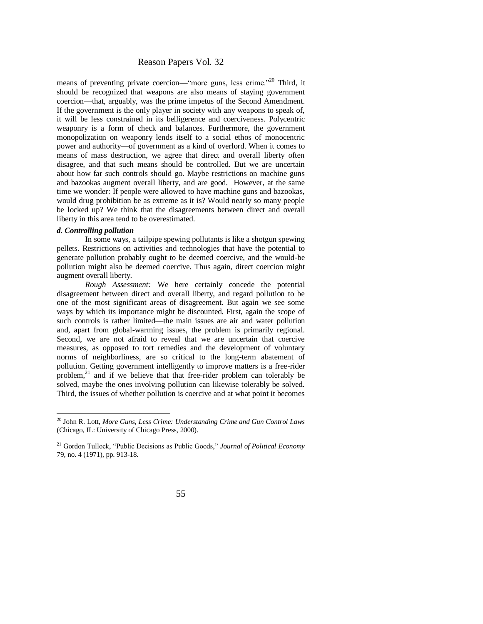means of preventing private coercion—"more guns, less crime."<sup>20</sup> Third, it should be recognized that weapons are also means of staying government coercion—that, arguably, was the prime impetus of the Second Amendment. If the government is the only player in society with any weapons to speak of, it will be less constrained in its belligerence and coerciveness. Polycentric weaponry is a form of check and balances. Furthermore, the government monopolization on weaponry lends itself to a social ethos of monocentric power and authority—of government as a kind of overlord. When it comes to means of mass destruction, we agree that direct and overall liberty often disagree, and that such means should be controlled. But we are uncertain about how far such controls should go. Maybe restrictions on machine guns and bazookas augment overall liberty, and are good. However, at the same time we wonder: If people were allowed to have machine guns and bazookas, would drug prohibition be as extreme as it is? Would nearly so many people be locked up? We think that the disagreements between direct and overall liberty in this area tend to be overestimated.

#### *d. Controlling pollution*

 $\overline{a}$ 

In some ways, a tailpipe spewing pollutants is like a shotgun spewing pellets. Restrictions on activities and technologies that have the potential to generate pollution probably ought to be deemed coercive, and the would-be pollution might also be deemed coercive. Thus again, direct coercion might augment overall liberty.

*Rough Assessment:* We here certainly concede the potential disagreement between direct and overall liberty, and regard pollution to be one of the most significant areas of disagreement. But again we see some ways by which its importance might be discounted. First, again the scope of such controls is rather limited—the main issues are air and water pollution and, apart from global-warming issues, the problem is primarily regional. Second, we are not afraid to reveal that we are uncertain that coercive measures, as opposed to tort remedies and the development of voluntary norms of neighborliness, are so critical to the long-term abatement of pollution. Getting government intelligently to improve matters is a free-rider problem, $21$  and if we believe that that free-rider problem can tolerably be solved, maybe the ones involving pollution can likewise tolerably be solved. Third, the issues of whether pollution is coercive and at what point it becomes

<sup>20</sup> John R. Lott, *More Guns, Less Crime: Understanding Crime and Gun Control Laws*  (Chicago, IL: University of Chicago Press, 2000).

<sup>&</sup>lt;sup>21</sup> Gordon Tullock, "Public Decisions as Public Goods," *Journal of Political Economy* 79, no. 4 (1971), pp. 913-18.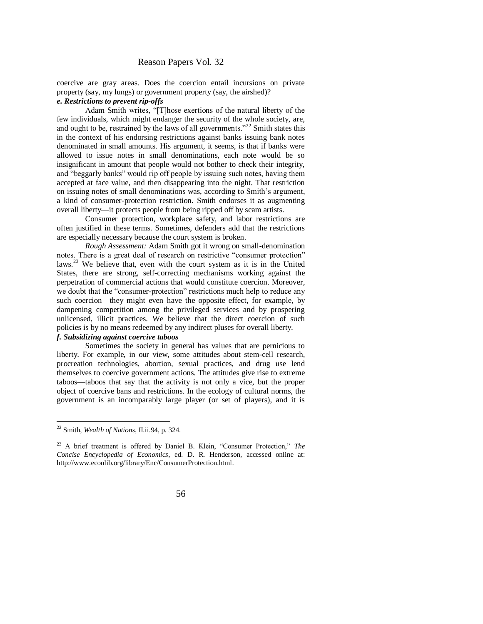coercive are gray areas. Does the coercion entail incursions on private property (say, my lungs) or government property (say, the airshed)?

### *e. Restrictions to prevent rip-offs*

Adam Smith writes, "[T]hose exertions of the natural liberty of the few individuals, which might endanger the security of the whole society, are, and ought to be, restrained by the laws of all governments.<sup> $22$ </sup> Smith states this in the context of his endorsing restrictions against banks issuing bank notes denominated in small amounts. His argument, it seems, is that if banks were allowed to issue notes in small denominations, each note would be so insignificant in amount that people would not bother to check their integrity, and "beggarly banks" would rip off people by issuing such notes, having them accepted at face value, and then disappearing into the night. That restriction on issuing notes of small denominations was, according to Smith's argument, a kind of consumer-protection restriction. Smith endorses it as augmenting overall liberty—it protects people from being ripped off by scam artists.

Consumer protection, workplace safety, and labor restrictions are often justified in these terms. Sometimes, defenders add that the restrictions are especially necessary because the court system is broken.

*Rough Assessment:* Adam Smith got it wrong on small-denomination notes. There is a great deal of research on restrictive "consumer protection" laws.<sup>23</sup> We believe that, even with the court system as it is in the United States, there are strong, self-correcting mechanisms working against the perpetration of commercial actions that would constitute coercion. Moreover, we doubt that the "consumer-protection" restrictions much help to reduce any such coercion—they might even have the opposite effect, for example, by dampening competition among the privileged services and by prospering unlicensed, illicit practices. We believe that the direct coercion of such policies is by no means redeemed by any indirect pluses for overall liberty.

### *f. Subsidizing against coercive taboos*

Sometimes the society in general has values that are pernicious to liberty. For example, in our view, some attitudes about stem-cell research, procreation technologies, abortion, sexual practices, and drug use lend themselves to coercive government actions. The attitudes give rise to extreme taboos—taboos that say that the activity is not only a vice, but the proper object of coercive bans and restrictions. In the ecology of cultural norms, the government is an incomparably large player (or set of players), and it is

<sup>22</sup> Smith, *Wealth of Nations*, II.ii.94, p. 324.

<sup>&</sup>lt;sup>23</sup> A brief treatment is offered by Daniel B. Klein, "Consumer Protection," The *Concise Encyclopedia of Economics*, ed. D. R. Henderson, accessed online at: [http://www.econlib.org/library/Enc/ConsumerProtection.html.](https://owa.mmm.edu/owa/redir.aspx?C=5cef5d748515467ba096882548a06e33&URL=http%3a%2f%2fwww.econlib.org%2flibrary%2fEnc%2fConsumerProtection.html)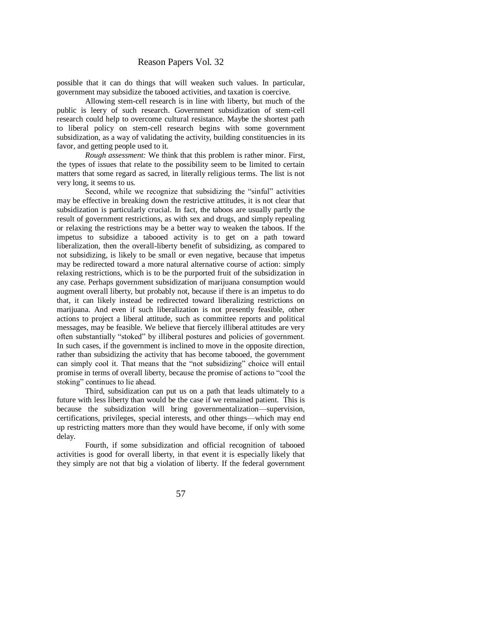possible that it can do things that will weaken such values. In particular, government may subsidize the tabooed activities, and taxation is coercive.

Allowing stem-cell research is in line with liberty, but much of the public is leery of such research. Government subsidization of stem-cell research could help to overcome cultural resistance. Maybe the shortest path to liberal policy on stem-cell research begins with some government subsidization, as a way of validating the activity, building constituencies in its favor, and getting people used to it.

*Rough assessment:* We think that this problem is rather minor. First, the types of issues that relate to the possibility seem to be limited to certain matters that some regard as sacred, in literally religious terms. The list is not very long, it seems to us.

Second, while we recognize that subsidizing the "sinful" activities may be effective in breaking down the restrictive attitudes, it is not clear that subsidization is particularly crucial. In fact, the taboos are usually partly the result of government restrictions, as with sex and drugs, and simply repealing or relaxing the restrictions may be a better way to weaken the taboos. If the impetus to subsidize a tabooed activity is to get on a path toward liberalization, then the overall-liberty benefit of subsidizing, as compared to not subsidizing, is likely to be small or even negative, because that impetus may be redirected toward a more natural alternative course of action: simply relaxing restrictions, which is to be the purported fruit of the subsidization in any case. Perhaps government subsidization of marijuana consumption would augment overall liberty, but probably not, because if there is an impetus to do that, it can likely instead be redirected toward liberalizing restrictions on marijuana. And even if such liberalization is not presently feasible, other actions to project a liberal attitude, such as committee reports and political messages, may be feasible. We believe that fiercely illiberal attitudes are very often substantially "stoked" by illiberal postures and policies of government. In such cases, if the government is inclined to move in the opposite direction, rather than subsidizing the activity that has become tabooed, the government can simply cool it. That means that the "not subsidizing" choice will entail promise in terms of overall liberty, because the promise of actions to "cool the stoking" continues to lie ahead.

Third, subsidization can put us on a path that leads ultimately to a future with less liberty than would be the case if we remained patient. This is because the subsidization will bring governmentalization—supervision, certifications, privileges, special interests, and other things—which may end up restricting matters more than they would have become, if only with some delay.

Fourth, if some subsidization and official recognition of tabooed activities is good for overall liberty, in that event it is especially likely that they simply are not that big a violation of liberty. If the federal government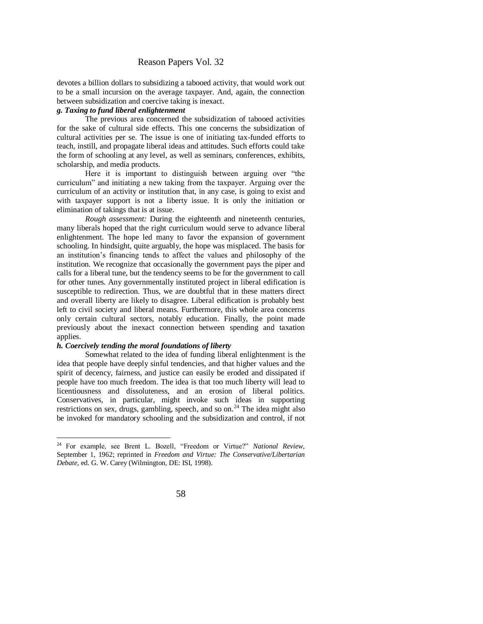devotes a billion dollars to subsidizing a tabooed activity, that would work out to be a small incursion on the average taxpayer. And, again, the connection between subsidization and coercive taking is inexact.

### *g. Taxing to fund liberal enlightenment*

The previous area concerned the subsidization of tabooed activities for the sake of cultural side effects. This one concerns the subsidization of cultural activities per se. The issue is one of initiating tax-funded efforts to teach, instill, and propagate liberal ideas and attitudes. Such efforts could take the form of schooling at any level, as well as seminars, conferences, exhibits, scholarship, and media products.

Here it is important to distinguish between arguing over "the curriculum" and initiating a new taking from the taxpayer. Arguing over the curriculum of an activity or institution that, in any case, is going to exist and with taxpayer support is not a liberty issue. It is only the initiation or elimination of takings that is at issue.

*Rough assessment:* During the eighteenth and nineteenth centuries, many liberals hoped that the right curriculum would serve to advance liberal enlightenment. The hope led many to favor the expansion of government schooling. In hindsight, quite arguably, the hope was misplaced. The basis for an institution's financing tends to affect the values and philosophy of the institution. We recognize that occasionally the government pays the piper and calls for a liberal tune, but the tendency seems to be for the government to call for other tunes. Any governmentally instituted project in liberal edification is susceptible to redirection. Thus, we are doubtful that in these matters direct and overall liberty are likely to disagree. Liberal edification is probably best left to civil society and liberal means. Furthermore, this whole area concerns only certain cultural sectors, notably education. Finally, the point made previously about the inexact connection between spending and taxation applies.

#### *h. Coercively tending the moral foundations of liberty*

 $\overline{a}$ 

Somewhat related to the idea of funding liberal enlightenment is the idea that people have deeply sinful tendencies, and that higher values and the spirit of decency, fairness, and justice can easily be eroded and dissipated if people have too much freedom. The idea is that too much liberty will lead to licentiousness and dissoluteness, and an erosion of liberal politics. Conservatives, in particular, might invoke such ideas in supporting restrictions on sex, drugs, gambling, speech, and so on.<sup>24</sup> The idea might also be invoked for mandatory schooling and the subsidization and control, if not

<sup>&</sup>lt;sup>24</sup> For example, see Brent L. Bozell, "Freedom or Virtue?" *National Review*, September 1, 1962; reprinted in *Freedom and Virtue: The Conservative/Libertarian Debate*, ed. G. W. Carey (Wilmington, DE: ISI, 1998).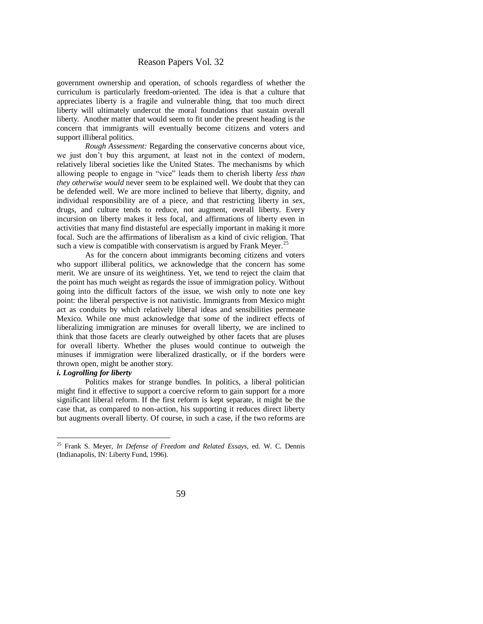government ownership and operation, of schools regardless of whether the curriculum is particularly freedom-oriented. The idea is that a culture that appreciates liberty is a fragile and vulnerable thing, that too much direct liberty will ultimately undercut the moral foundations that sustain overall liberty. Another matter that would seem to fit under the present heading is the concern that immigrants will eventually become citizens and voters and support illiberal politics.

*Rough Assessment:* Regarding the conservative concerns about vice, we just don't buy this argument, at least not in the context of modern, relatively liberal societies like the United States. The mechanisms by which allowing people to engage in "vice" leads them to cherish liberty *less than they otherwise would* never seem to be explained well. We doubt that they can be defended well. We are more inclined to believe that liberty, dignity, and individual responsibility are of a piece, and that restricting liberty in sex, drugs, and culture tends to reduce, not augment, overall liberty. Every incursion on liberty makes it less focal, and affirmations of liberty even in activities that many find distasteful are especially important in making it more focal. Such are the affirmations of liberalism as a kind of civic religion. That such a view is compatible with conservatism is argued by Frank Meyer.<sup>25</sup>

As for the concern about immigrants becoming citizens and voters who support illiberal politics, we acknowledge that the concern has some merit. We are unsure of its weightiness. Yet, we tend to reject the claim that the point has much weight as regards the issue of immigration policy. Without going into the difficult factors of the issue, we wish only to note one key point: the liberal perspective is not nativistic. Immigrants from Mexico might act as conduits by which relatively liberal ideas and sensibilities permeate Mexico. While one must acknowledge that *some* of the indirect effects of liberalizing immigration are minuses for overall liberty, we are inclined to think that those facets are clearly outweighed by other facets that are pluses for overall liberty. Whether the pluses would continue to outweigh the minuses if immigration were liberalized drastically, or if the borders were thrown open, might be another story.

# *i. Logrolling for liberty*

 $\overline{a}$ 

Politics makes for strange bundles. In politics, a liberal politician might find it effective to support a coercive reform to gain support for a more significant liberal reform. If the first reform is kept separate, it might be the case that, as compared to non-action, his supporting it reduces direct liberty but augments overall liberty. Of course, in such a case, if the two reforms are

<sup>25</sup> Frank S. Meyer, *In Defense of Freedom and Related Essays,* ed. W. C. Dennis (Indianapolis, IN: Liberty Fund, 1996).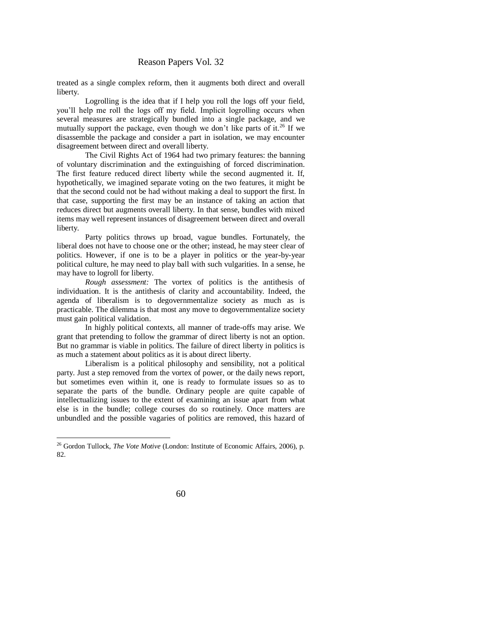treated as a single complex reform, then it augments both direct and overall liberty.

Logrolling is the idea that if I help you roll the logs off your field. you'll help me roll the logs off my field. Implicit logrolling occurs when several measures are strategically bundled into a single package, and we mutually support the package, even though we don't like parts of it.<sup>26</sup> If we disassemble the package and consider a part in isolation, we may encounter disagreement between direct and overall liberty.

The Civil Rights Act of 1964 had two primary features: the banning of voluntary discrimination and the extinguishing of forced discrimination. The first feature reduced direct liberty while the second augmented it. If, hypothetically, we imagined separate voting on the two features, it might be that the second could not be had without making a deal to support the first. In that case, supporting the first may be an instance of taking an action that reduces direct but augments overall liberty. In that sense, bundles with mixed items may well represent instances of disagreement between direct and overall liberty.

Party politics throws up broad, vague bundles. Fortunately, the liberal does not have to choose one or the other; instead, he may steer clear of politics. However, if one is to be a player in politics or the year-by-year political culture, he may need to play ball with such vulgarities. In a sense, he may have to logroll for liberty.

*Rough assessment:* The vortex of politics is the antithesis of individuation. It is the antithesis of clarity and accountability. Indeed, the agenda of liberalism is to degovernmentalize society as much as is practicable. The dilemma is that most any move to degovernmentalize society must gain political validation.

In highly political contexts, all manner of trade-offs may arise. We grant that pretending to follow the grammar of direct liberty is not an option. But no grammar is viable in politics. The failure of direct liberty in politics is as much a statement about politics as it is about direct liberty.

Liberalism is a political philosophy and sensibility, not a political party. Just a step removed from the vortex of power, or the daily news report, but sometimes even within it, one is ready to formulate issues so as to separate the parts of the bundle. Ordinary people are quite capable of intellectualizing issues to the extent of examining an issue apart from what else is in the bundle; college courses do so routinely. Once matters are unbundled and the possible vagaries of politics are removed, this hazard of

<sup>26</sup> Gordon Tullock, *The Vote Motive* (London: Institute of Economic Affairs, 2006), p. 82.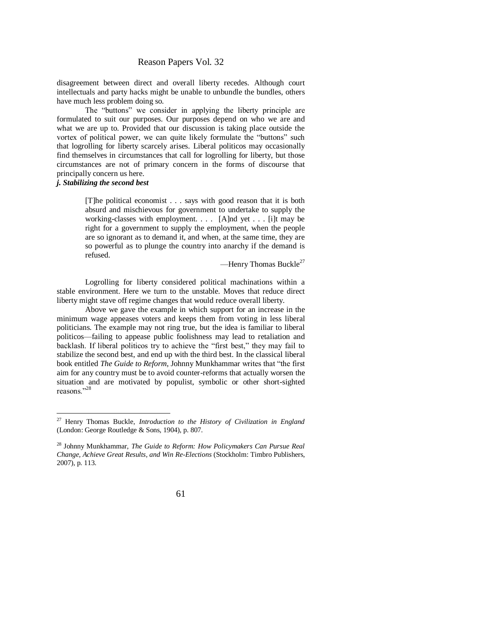disagreement between direct and overall liberty recedes. Although court intellectuals and party hacks might be unable to unbundle the bundles, others have much less problem doing so.

The "buttons" we consider in applying the liberty principle are formulated to suit our purposes. Our purposes depend on who we are and what we are up to. Provided that our discussion is taking place outside the vortex of political power, we can quite likely formulate the "buttons" such that logrolling for liberty scarcely arises. Liberal politicos may occasionally find themselves in circumstances that call for logrolling for liberty, but those circumstances are not of primary concern in the forms of discourse that principally concern us here.

### *j. Stabilizing the second best*

 $\overline{a}$ 

[T]he political economist . . . says with good reason that it is both absurd and mischievous for government to undertake to supply the working-classes with employment. . . . [A]nd yet . . . [i]t may be right for a government to supply the employment, when the people are so ignorant as to demand it, and when, at the same time, they are so powerful as to plunge the country into anarchy if the demand is refused.

—Henry Thomas Buckle<sup>27</sup>

Logrolling for liberty considered political machinations within a stable environment. Here we turn to the unstable. Moves that reduce direct liberty might stave off regime changes that would reduce overall liberty.

Above we gave the example in which support for an increase in the minimum wage appeases voters and keeps them from voting in less liberal politicians. The example may not ring true, but the idea is familiar to liberal politicos—failing to appease public foolishness may lead to retaliation and backlash. If liberal politicos try to achieve the "first best," they may fail to stabilize the second best, and end up with the third best. In the classical liberal book entitled *The Guide to Reform*, Johnny Munkhammar writes that "the first aim for any country must be to avoid counter-reforms that actually worsen the situation and are motivated by populist, symbolic or other short-sighted reasons<sup>"28</sup>

<sup>27</sup> Henry Thomas Buckle, *Introduction to the History of Civilization in England* (London: George Routledge & Sons, 1904), p. 807.

<sup>28</sup> Johnny Munkhammar, *The Guide to Reform: How Policymakers Can Pursue Real Change, Achieve Great Results, and Win Re-Elections* (Stockholm: Timbro Publishers, 2007), p. 113.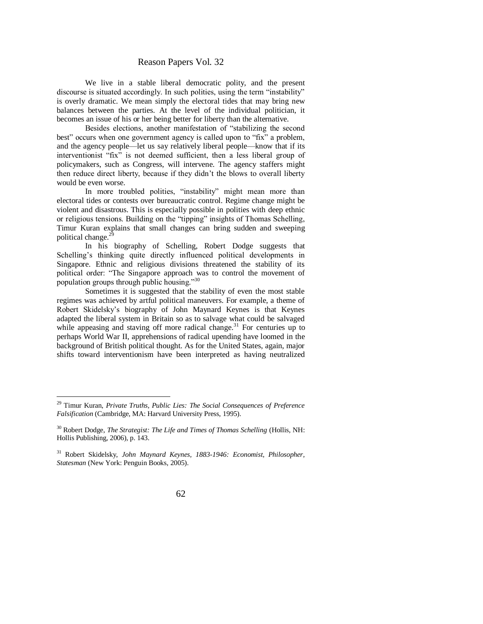We live in a stable liberal democratic polity, and the present discourse is situated accordingly. In such polities, using the term "instability" is overly dramatic. We mean simply the electoral tides that may bring new balances between the parties. At the level of the individual politician, it becomes an issue of his or her being better for liberty than the alternative.

Besides elections, another manifestation of "stabilizing the second" best" occurs when one government agency is called upon to "fix" a problem, and the agency people—let us say relatively liberal people—know that if its interventionist "fix" is not deemed sufficient, then a less liberal group of policymakers, such as Congress, will intervene. The agency staffers might then reduce direct liberty, because if they didn't the blows to overall liberty would be even worse.

In more troubled polities, "instability" might mean more than electoral tides or contests over bureaucratic control. Regime change might be violent and disastrous. This is especially possible in polities with deep ethnic or religious tensions. Building on the "tipping" insights of Thomas Schelling, Timur Kuran explains that small changes can bring sudden and sweeping political change. $^{29}$ 

In his biography of Schelling, Robert Dodge suggests that Schelling's thinking quite directly influenced political developments in Singapore. Ethnic and religious divisions threatened the stability of its political order: "The Singapore approach was to control the movement of population groups through public housing."30

Sometimes it is suggested that the stability of even the most stable regimes was achieved by artful political maneuvers. For example, a theme of Robert Skidelsky's biography of John Maynard Keynes is that Keynes adapted the liberal system in Britain so as to salvage what could be salvaged while appeasing and staving off more radical change.<sup>31</sup> For centuries up to perhaps World War II, apprehensions of radical upending have loomed in the background of British political thought. As for the United States, again, major shifts toward interventionism have been interpreted as having neutralized

<sup>29</sup> Timur Kuran, *Private Truths, Public Lies: The Social Consequences of Preference Falsification* (Cambridge, MA: Harvard University Press, 1995).

<sup>30</sup> Robert Dodge, *The Strategist: The Life and Times of Thomas Schelling* (Hollis, NH: Hollis Publishing, 2006), p. 143.

<sup>31</sup> Robert Skidelsky, *John Maynard Keynes, 1883-1946: Economist, Philosopher, Statesman* (New York: Penguin Books, 2005).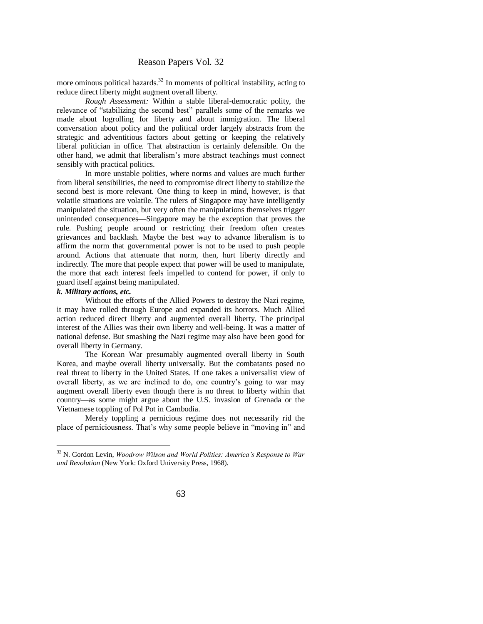more ominous political hazards.<sup>32</sup> In moments of political instability, acting to reduce direct liberty might augment overall liberty.

*Rough Assessment:* Within a stable liberal-democratic polity, the relevance of "stabilizing the second best" parallels some of the remarks we made about logrolling for liberty and about immigration. The liberal conversation about policy and the political order largely abstracts from the strategic and adventitious factors about getting or keeping the relatively liberal politician in office. That abstraction is certainly defensible. On the other hand, we admit that liberalism's more abstract teachings must connect sensibly with practical politics.

In more unstable polities, where norms and values are much further from liberal sensibilities, the need to compromise direct liberty to stabilize the second best is more relevant. One thing to keep in mind, however, is that volatile situations are volatile. The rulers of Singapore may have intelligently manipulated the situation, but very often the manipulations themselves trigger unintended consequences—Singapore may be the exception that proves the rule. Pushing people around or restricting their freedom often creates grievances and backlash. Maybe the best way to advance liberalism is to affirm the norm that governmental power is not to be used to push people around. Actions that attenuate that norm, then, hurt liberty directly and indirectly. The more that people expect that power will be used to manipulate, the more that each interest feels impelled to contend for power, if only to guard itself against being manipulated.

### *k. Military actions, etc.*

 $\overline{a}$ 

Without the efforts of the Allied Powers to destroy the Nazi regime, it may have rolled through Europe and expanded its horrors. Much Allied action reduced direct liberty and augmented overall liberty. The principal interest of the Allies was their own liberty and well-being. It was a matter of national defense. But smashing the Nazi regime may also have been good for overall liberty in Germany.

The Korean War presumably augmented overall liberty in South Korea, and maybe overall liberty universally. But the combatants posed no real threat to liberty in the United States. If one takes a universalist view of overall liberty, as we are inclined to do, one country's going to war may augment overall liberty even though there is no threat to liberty within that country—as some might argue about the U.S. invasion of Grenada or the Vietnamese toppling of Pol Pot in Cambodia.

Merely toppling a pernicious regime does not necessarily rid the place of perniciousness. That's why some people believe in "moving in" and

<sup>32</sup> N. Gordon Levin, *Woodrow Wilson and World Politics: America's Response to War and Revolution* (New York: Oxford University Press, 1968).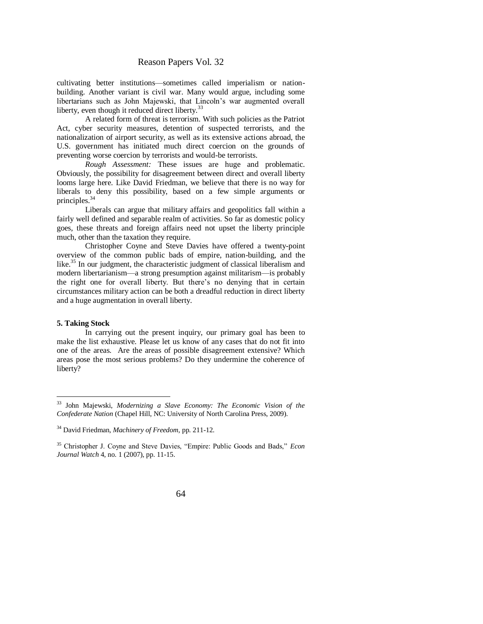cultivating better institutions—sometimes called imperialism or nationbuilding. Another variant is civil war. Many would argue, including some libertarians such as John Majewski, that Lincoln's war augmented overall liberty, even though it reduced direct liberty.<sup>33</sup>

A related form of threat is terrorism. With such policies as the Patriot Act, cyber security measures, detention of suspected terrorists, and the nationalization of airport security, as well as its extensive actions abroad, the U.S. government has initiated much direct coercion on the grounds of preventing worse coercion by terrorists and would-be terrorists.

*Rough Assessment:* These issues are huge and problematic. Obviously, the possibility for disagreement between direct and overall liberty looms large here. Like David Friedman, we believe that there is no way for liberals to deny this possibility, based on a few simple arguments or principles.<sup>34</sup>

Liberals can argue that military affairs and geopolitics fall within a fairly well defined and separable realm of activities. So far as domestic policy goes, these threats and foreign affairs need not upset the liberty principle much, other than the taxation they require.

Christopher Coyne and Steve Davies have offered a twenty-point overview of the common public bads of empire, nation-building, and the like.<sup>35</sup> In our judgment, the characteristic judgment of classical liberalism and modern libertarianism—a strong presumption against militarism—is probably the right one for overall liberty. But there's no denying that in certain circumstances military action can be both a dreadful reduction in direct liberty and a huge augmentation in overall liberty.

#### **5. Taking Stock**

 $\overline{a}$ 

In carrying out the present inquiry, our primary goal has been to make the list exhaustive. Please let us know of any cases that do not fit into one of the areas. Are the areas of possible disagreement extensive? Which areas pose the most serious problems? Do they undermine the coherence of liberty?

<sup>33</sup> John Majewski, *Modernizing a Slave Economy: The Economic Vision of the Confederate Nation* (Chapel Hill, NC: University of North Carolina Press, 2009).

<sup>34</sup> David Friedman, *Machinery of Freedom*, pp. 211-12.

<sup>&</sup>lt;sup>35</sup> Christopher J. Coyne and Steve Davies, "Empire: Public Goods and Bads," *Econ Journal Watch* 4, no. 1 (2007), pp. 11-15.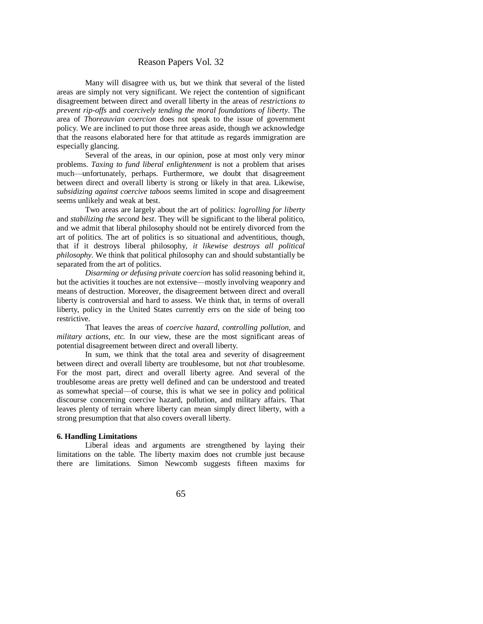Many will disagree with us, but we think that several of the listed areas are simply not very significant. We reject the contention of significant disagreement between direct and overall liberty in the areas of *restrictions to prevent rip-offs* and *coercively tending the moral foundations of liberty*. The area of *Thoreauvian coercion* does not speak to the issue of government policy. We are inclined to put those three areas aside, though we acknowledge that the reasons elaborated here for that attitude as regards immigration are especially glancing.

Several of the areas, in our opinion, pose at most only very minor problems. *Taxing to fund liberal enlightenment* is not a problem that arises much—unfortunately, perhaps. Furthermore, we doubt that disagreement between direct and overall liberty is strong or likely in that area. Likewise, *subsidizing against coercive taboos* seems limited in scope and disagreement seems unlikely and weak at best.

Two areas are largely about the art of politics: *logrolling for liberty* and *stabilizing the second best*. They will be significant to the liberal politico, and we admit that liberal philosophy should not be entirely divorced from the art of politics. The art of politics is so situational and adventitious, though, that if it destroys liberal philosophy, *it likewise destroys all political philosophy*. We think that political philosophy can and should substantially be separated from the art of politics.

*Disarming or defusing private coercion* has solid reasoning behind it, but the activities it touches are not extensive—mostly involving weaponry and means of destruction. Moreover, the disagreement between direct and overall liberty is controversial and hard to assess. We think that, in terms of overall liberty, policy in the United States currently errs on the side of being too restrictive.

That leaves the areas of *coercive hazard*, *controlling pollution,* and *military actions, etc.* In our view, these are the most significant areas of potential disagreement between direct and overall liberty.

In sum, we think that the total area and severity of disagreement between direct and overall liberty are troublesome, but not *that* troublesome. For the most part, direct and overall liberty agree. And several of the troublesome areas are pretty well defined and can be understood and treated as somewhat special—of course, this is what we see in policy and political discourse concerning coercive hazard, pollution, and military affairs. That leaves plenty of terrain where liberty can mean simply direct liberty, with a strong presumption that that also covers overall liberty.

#### **6. Handling Limitations**

Liberal ideas and arguments are strengthened by laying their limitations on the table. The liberty maxim does not crumble just because there are limitations. Simon Newcomb suggests fifteen maxims for